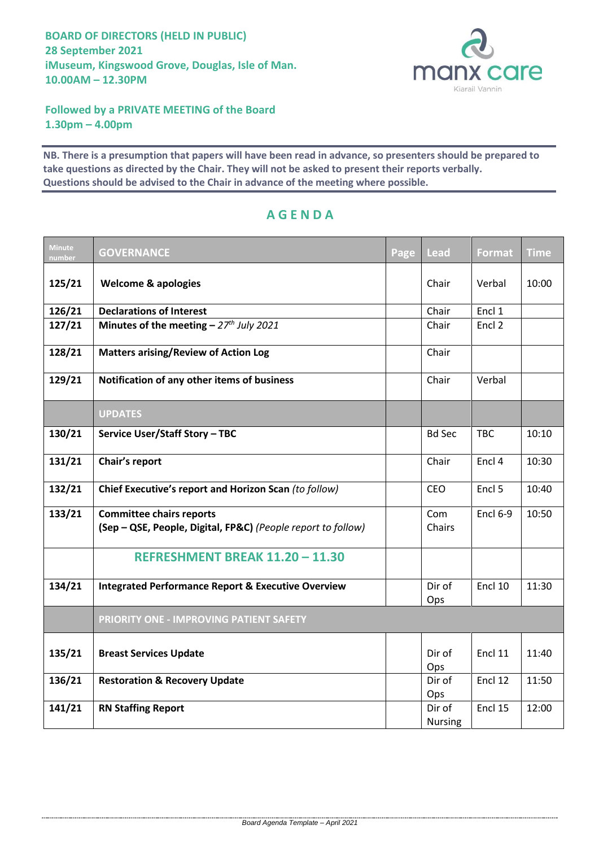

**Followed by a PRIVATE MEETING of the Board 1.30pm – 4.00pm**

**NB. There is a presumption that papers will have been read in advance, so presenters should be prepared to take questions as directed by the Chair. They will not be asked to present their reports verbally. Questions should be advised to the Chair in advance of the meeting where possible.**

| <b>Minute</b><br>number | <b>GOVERNANCE</b>                                                                               | Page | <b>Lead</b>              | Format          | <b>Time</b> |
|-------------------------|-------------------------------------------------------------------------------------------------|------|--------------------------|-----------------|-------------|
| 125/21                  | <b>Welcome &amp; apologies</b>                                                                  |      | Chair                    | Verbal          | 10:00       |
| 126/21                  | <b>Declarations of Interest</b>                                                                 |      | Chair                    | Encl 1          |             |
| 127/21                  | Minutes of the meeting $-27th$ July 2021                                                        |      | Chair                    | Encl 2          |             |
| 128/21                  | <b>Matters arising/Review of Action Log</b>                                                     |      | Chair                    |                 |             |
| 129/21                  | Notification of any other items of business                                                     |      | Chair                    | Verbal          |             |
|                         | <b>UPDATES</b>                                                                                  |      |                          |                 |             |
| 130/21                  | Service User/Staff Story - TBC                                                                  |      | <b>Bd Sec</b>            | <b>TBC</b>      | 10:10       |
| 131/21                  | Chair's report                                                                                  |      | Chair                    | Encl 4          | 10:30       |
| 132/21                  | Chief Executive's report and Horizon Scan (to follow)                                           |      | <b>CEO</b>               | Encl 5          | 10:40       |
| 133/21                  | <b>Committee chairs reports</b><br>(Sep - QSE, People, Digital, FP&C) (People report to follow) |      | Com<br>Chairs            | <b>Encl 6-9</b> | 10:50       |
|                         | REFRESHMENT BREAK 11.20 - 11.30                                                                 |      |                          |                 |             |
| 134/21                  | <b>Integrated Performance Report &amp; Executive Overview</b>                                   |      | Dir of<br>Ops            | Encl 10         | 11:30       |
|                         | PRIORITY ONE - IMPROVING PATIENT SAFETY                                                         |      |                          |                 |             |
| 135/21                  | <b>Breast Services Update</b>                                                                   |      | Dir of<br>Ops            | Encl 11         | 11:40       |
| 136/21                  | <b>Restoration &amp; Recovery Update</b>                                                        |      | Dir of<br>Ops            | Encl 12         | 11:50       |
| 141/21                  | <b>RN Staffing Report</b>                                                                       |      | Dir of<br><b>Nursing</b> | Encl 15         | 12:00       |

## **A G E N D A**